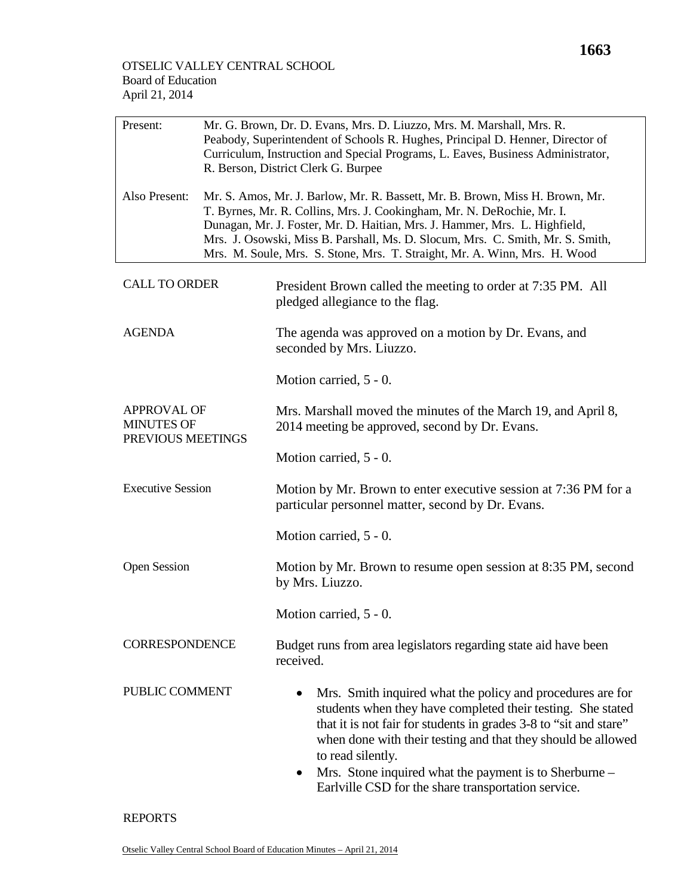| Present:                                                     | Mr. G. Brown, Dr. D. Evans, Mrs. D. Liuzzo, Mrs. M. Marshall, Mrs. R.<br>Peabody, Superintendent of Schools R. Hughes, Principal D. Henner, Director of<br>Curriculum, Instruction and Special Programs, L. Eaves, Business Administrator,<br>R. Berson, District Clerk G. Burpee                                                                                                                   |                                                                                                                                                                                                                                                                                                                                                                                                                   |  |
|--------------------------------------------------------------|-----------------------------------------------------------------------------------------------------------------------------------------------------------------------------------------------------------------------------------------------------------------------------------------------------------------------------------------------------------------------------------------------------|-------------------------------------------------------------------------------------------------------------------------------------------------------------------------------------------------------------------------------------------------------------------------------------------------------------------------------------------------------------------------------------------------------------------|--|
| Also Present:                                                | Mr. S. Amos, Mr. J. Barlow, Mr. R. Bassett, Mr. B. Brown, Miss H. Brown, Mr.<br>T. Byrnes, Mr. R. Collins, Mrs. J. Cookingham, Mr. N. DeRochie, Mr. I.<br>Dunagan, Mr. J. Foster, Mr. D. Haitian, Mrs. J. Hammer, Mrs. L. Highfield,<br>Mrs. J. Osowski, Miss B. Parshall, Ms. D. Slocum, Mrs. C. Smith, Mr. S. Smith,<br>Mrs. M. Soule, Mrs. S. Stone, Mrs. T. Straight, Mr. A. Winn, Mrs. H. Wood |                                                                                                                                                                                                                                                                                                                                                                                                                   |  |
| <b>CALL TO ORDER</b>                                         |                                                                                                                                                                                                                                                                                                                                                                                                     | President Brown called the meeting to order at 7:35 PM. All<br>pledged allegiance to the flag.                                                                                                                                                                                                                                                                                                                    |  |
| <b>AGENDA</b>                                                |                                                                                                                                                                                                                                                                                                                                                                                                     | The agenda was approved on a motion by Dr. Evans, and<br>seconded by Mrs. Liuzzo.                                                                                                                                                                                                                                                                                                                                 |  |
|                                                              |                                                                                                                                                                                                                                                                                                                                                                                                     | Motion carried, 5 - 0.                                                                                                                                                                                                                                                                                                                                                                                            |  |
| <b>APPROVAL OF</b><br><b>MINUTES OF</b><br>PREVIOUS MEETINGS |                                                                                                                                                                                                                                                                                                                                                                                                     | Mrs. Marshall moved the minutes of the March 19, and April 8,<br>2014 meeting be approved, second by Dr. Evans.                                                                                                                                                                                                                                                                                                   |  |
|                                                              |                                                                                                                                                                                                                                                                                                                                                                                                     | Motion carried, 5 - 0.                                                                                                                                                                                                                                                                                                                                                                                            |  |
| <b>Executive Session</b>                                     |                                                                                                                                                                                                                                                                                                                                                                                                     | Motion by Mr. Brown to enter executive session at 7:36 PM for a<br>particular personnel matter, second by Dr. Evans.                                                                                                                                                                                                                                                                                              |  |
|                                                              |                                                                                                                                                                                                                                                                                                                                                                                                     | Motion carried, 5 - 0.                                                                                                                                                                                                                                                                                                                                                                                            |  |
| <b>Open Session</b>                                          |                                                                                                                                                                                                                                                                                                                                                                                                     | Motion by Mr. Brown to resume open session at 8:35 PM, second<br>by Mrs. Liuzzo.                                                                                                                                                                                                                                                                                                                                  |  |
|                                                              |                                                                                                                                                                                                                                                                                                                                                                                                     | Motion carried, 5 - 0.                                                                                                                                                                                                                                                                                                                                                                                            |  |
| <b>CORRESPONDENCE</b>                                        |                                                                                                                                                                                                                                                                                                                                                                                                     | Budget runs from area legislators regarding state aid have been<br>received.                                                                                                                                                                                                                                                                                                                                      |  |
| PUBLIC COMMENT                                               |                                                                                                                                                                                                                                                                                                                                                                                                     | Mrs. Smith inquired what the policy and procedures are for<br>$\bullet$<br>students when they have completed their testing. She stated<br>that it is not fair for students in grades 3-8 to "sit and stare"<br>when done with their testing and that they should be allowed<br>to read silently.<br>Mrs. Stone inquired what the payment is to Sherburne -<br>Earlville CSD for the share transportation service. |  |

## REPORTS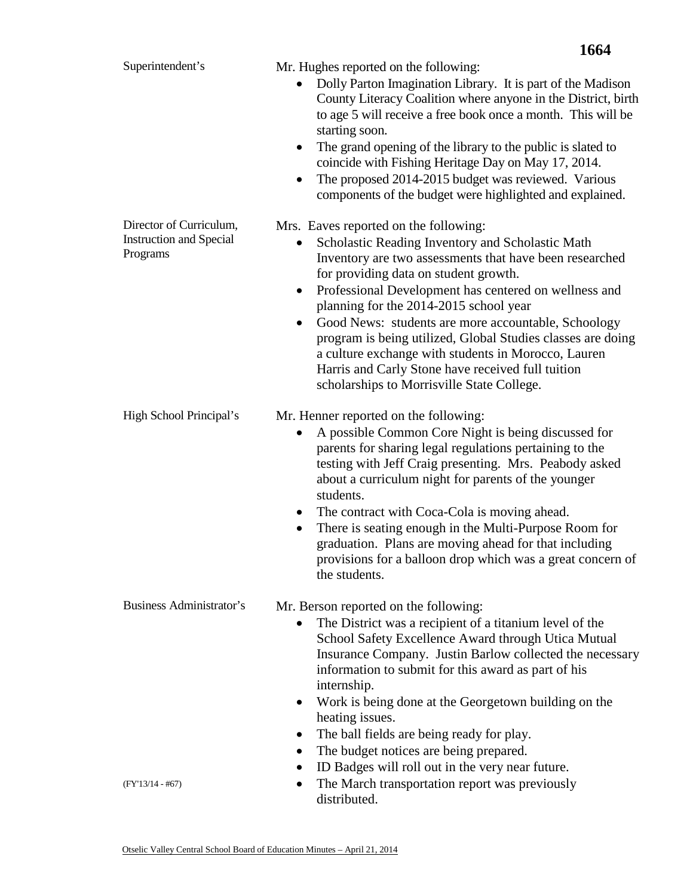|                                                                       | 1664                                                                                                                                                                                                                                                                                                                                                                                                                                                                                                                                                                                                       |
|-----------------------------------------------------------------------|------------------------------------------------------------------------------------------------------------------------------------------------------------------------------------------------------------------------------------------------------------------------------------------------------------------------------------------------------------------------------------------------------------------------------------------------------------------------------------------------------------------------------------------------------------------------------------------------------------|
| Superintendent's                                                      | Mr. Hughes reported on the following:<br>Dolly Parton Imagination Library. It is part of the Madison<br>County Literacy Coalition where anyone in the District, birth<br>to age 5 will receive a free book once a month. This will be<br>starting soon.<br>The grand opening of the library to the public is slated to<br>$\bullet$<br>coincide with Fishing Heritage Day on May 17, 2014.<br>The proposed 2014-2015 budget was reviewed. Various<br>components of the budget were highlighted and explained.                                                                                              |
| Director of Curriculum,<br><b>Instruction and Special</b><br>Programs | Mrs. Eaves reported on the following:<br>Scholastic Reading Inventory and Scholastic Math<br>Inventory are two assessments that have been researched<br>for providing data on student growth.<br>Professional Development has centered on wellness and<br>$\bullet$<br>planning for the 2014-2015 school year<br>Good News: students are more accountable, Schoology<br>$\bullet$<br>program is being utilized, Global Studies classes are doing<br>a culture exchange with students in Morocco, Lauren<br>Harris and Carly Stone have received full tuition<br>scholarships to Morrisville State College. |
| High School Principal's                                               | Mr. Henner reported on the following:<br>A possible Common Core Night is being discussed for<br>parents for sharing legal regulations pertaining to the<br>testing with Jeff Craig presenting. Mrs. Peabody asked<br>about a curriculum night for parents of the younger<br>students.<br>The contract with Coca-Cola is moving ahead.<br>$\bullet$<br>There is seating enough in the Multi-Purpose Room for<br>$\bullet$<br>graduation. Plans are moving ahead for that including<br>provisions for a balloon drop which was a great concern of<br>the students.                                           |
| <b>Business Administrator's</b><br>$(FY'13/14 - #67)$                 | Mr. Berson reported on the following:<br>The District was a recipient of a titanium level of the<br>School Safety Excellence Award through Utica Mutual<br>Insurance Company. Justin Barlow collected the necessary<br>information to submit for this award as part of his<br>internship.<br>Work is being done at the Georgetown building on the<br>heating issues.<br>The ball fields are being ready for play.<br>The budget notices are being prepared.<br>ID Badges will roll out in the very near future.<br>The March transportation report was previously<br>distributed.                          |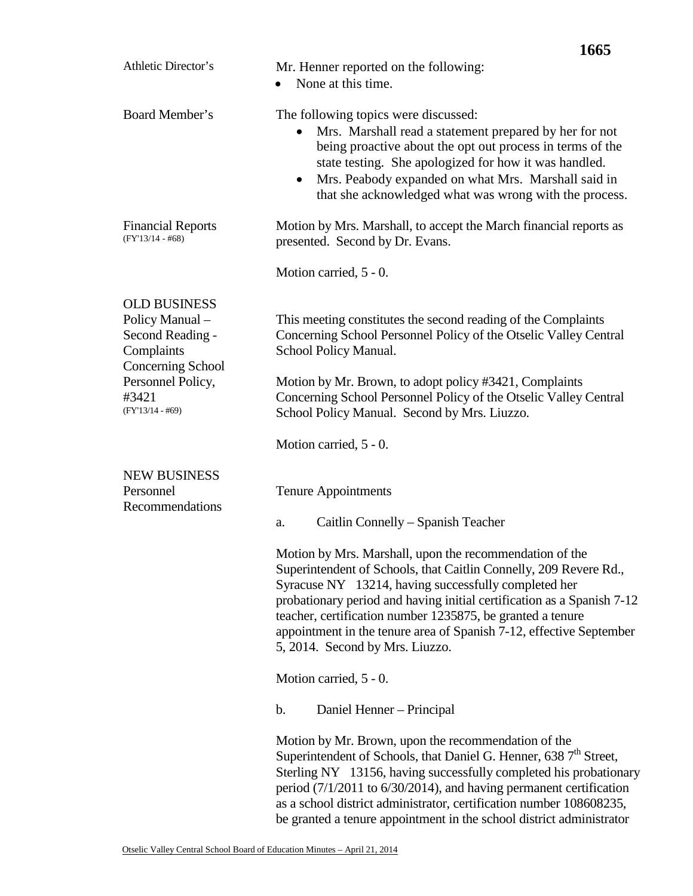|                                                                                               | 1665                                                                                                                                                                                                                                                                                                                                                                                                                                   |  |
|-----------------------------------------------------------------------------------------------|----------------------------------------------------------------------------------------------------------------------------------------------------------------------------------------------------------------------------------------------------------------------------------------------------------------------------------------------------------------------------------------------------------------------------------------|--|
| Athletic Director's                                                                           | Mr. Henner reported on the following:<br>None at this time.                                                                                                                                                                                                                                                                                                                                                                            |  |
| Board Member's                                                                                | The following topics were discussed:<br>Mrs. Marshall read a statement prepared by her for not<br>being proactive about the opt out process in terms of the<br>state testing. She apologized for how it was handled.<br>Mrs. Peabody expanded on what Mrs. Marshall said in<br>$\bullet$<br>that she acknowledged what was wrong with the process.                                                                                     |  |
| <b>Financial Reports</b><br>$(FY'13/14 - #68)$                                                | Motion by Mrs. Marshall, to accept the March financial reports as<br>presented. Second by Dr. Evans.                                                                                                                                                                                                                                                                                                                                   |  |
|                                                                                               | Motion carried, 5 - 0.                                                                                                                                                                                                                                                                                                                                                                                                                 |  |
| <b>OLD BUSINESS</b><br>Policy Manual -<br>Second Reading -<br>Complaints<br>Concerning School | This meeting constitutes the second reading of the Complaints<br>Concerning School Personnel Policy of the Otselic Valley Central<br>School Policy Manual.                                                                                                                                                                                                                                                                             |  |
| Personnel Policy,<br>#3421<br>$(FY'13/14 - #69)$                                              | Motion by Mr. Brown, to adopt policy #3421, Complaints<br>Concerning School Personnel Policy of the Otselic Valley Central<br>School Policy Manual. Second by Mrs. Liuzzo.                                                                                                                                                                                                                                                             |  |
|                                                                                               | Motion carried, 5 - 0.                                                                                                                                                                                                                                                                                                                                                                                                                 |  |
| <b>NEW BUSINESS</b><br>Personnel<br>Recommendations                                           | <b>Tenure Appointments</b>                                                                                                                                                                                                                                                                                                                                                                                                             |  |
|                                                                                               | Caitlin Connelly – Spanish Teacher<br>a.                                                                                                                                                                                                                                                                                                                                                                                               |  |
|                                                                                               | Motion by Mrs. Marshall, upon the recommendation of the<br>Superintendent of Schools, that Caitlin Connelly, 209 Revere Rd.,<br>Syracuse NY 13214, having successfully completed her<br>probationary period and having initial certification as a Spanish 7-12<br>teacher, certification number 1235875, be granted a tenure<br>appointment in the tenure area of Spanish 7-12, effective September<br>5, 2014. Second by Mrs. Liuzzo. |  |
|                                                                                               | Motion carried, 5 - 0.                                                                                                                                                                                                                                                                                                                                                                                                                 |  |
|                                                                                               | $\mathbf b$ .<br>Daniel Henner – Principal                                                                                                                                                                                                                                                                                                                                                                                             |  |
|                                                                                               | Motion by Mr. Brown, upon the recommendation of the<br>Superintendent of Schools, that Daniel G. Henner, 638 7 <sup>th</sup> Street,<br>Sterling NY 13156, having successfully completed his probationary<br>period (7/1/2011 to 6/30/2014), and having permanent certification<br>as a school district administrator, certification number 108608235,<br>be granted a tenure appointment in the school district administrator         |  |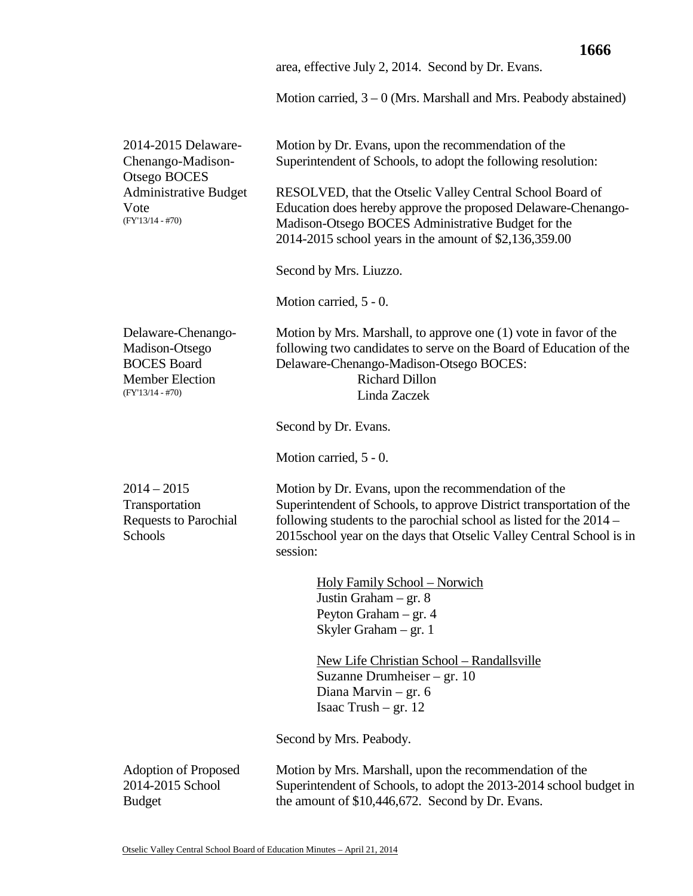|                                                                                                            | area, effective July 2, 2014. Second by Dr. Evans.                                                                                                                                                                                                                                       |
|------------------------------------------------------------------------------------------------------------|------------------------------------------------------------------------------------------------------------------------------------------------------------------------------------------------------------------------------------------------------------------------------------------|
|                                                                                                            | Motion carried, $3 - 0$ (Mrs. Marshall and Mrs. Peabody abstained)                                                                                                                                                                                                                       |
| 2014-2015 Delaware-<br>Chenango-Madison-<br>Otsego BOCES                                                   | Motion by Dr. Evans, upon the recommendation of the<br>Superintendent of Schools, to adopt the following resolution:                                                                                                                                                                     |
| <b>Administrative Budget</b><br>Vote<br>$(FY'13/14 - #70)$                                                 | RESOLVED, that the Otselic Valley Central School Board of<br>Education does hereby approve the proposed Delaware-Chenango-<br>Madison-Otsego BOCES Administrative Budget for the<br>2014-2015 school years in the amount of \$2,136,359.00                                               |
|                                                                                                            | Second by Mrs. Liuzzo.                                                                                                                                                                                                                                                                   |
|                                                                                                            | Motion carried, 5 - 0.                                                                                                                                                                                                                                                                   |
| Delaware-Chenango-<br>Madison-Otsego<br><b>BOCES</b> Board<br><b>Member Election</b><br>$(FY'13/14 - #70)$ | Motion by Mrs. Marshall, to approve one (1) vote in favor of the<br>following two candidates to serve on the Board of Education of the<br>Delaware-Chenango-Madison-Otsego BOCES:<br><b>Richard Dillon</b><br>Linda Zaczek                                                               |
|                                                                                                            | Second by Dr. Evans.                                                                                                                                                                                                                                                                     |
|                                                                                                            | Motion carried, 5 - 0.                                                                                                                                                                                                                                                                   |
| $2014 - 2015$<br>Transportation<br><b>Requests to Parochial</b><br>Schools                                 | Motion by Dr. Evans, upon the recommendation of the<br>Superintendent of Schools, to approve District transportation of the<br>following students to the parochial school as listed for the $2014 -$<br>2015school year on the days that Otselic Valley Central School is in<br>session: |
|                                                                                                            | <b>Holy Family School – Norwich</b><br>Justin Graham $-$ gr. 8<br>Peyton Graham $-$ gr. 4<br>Skyler Graham – gr. 1                                                                                                                                                                       |
|                                                                                                            | New Life Christian School - Randallsville<br>Suzanne Drumheiser – gr. $10$<br>Diana Marvin $-$ gr. 6<br>Isaac Trush $-$ gr. 12                                                                                                                                                           |
|                                                                                                            | Second by Mrs. Peabody.                                                                                                                                                                                                                                                                  |
| <b>Adoption of Proposed</b><br>2014-2015 School<br><b>Budget</b>                                           | Motion by Mrs. Marshall, upon the recommendation of the<br>Superintendent of Schools, to adopt the 2013-2014 school budget in<br>the amount of \$10,446,672. Second by Dr. Evans.                                                                                                        |

**1666**